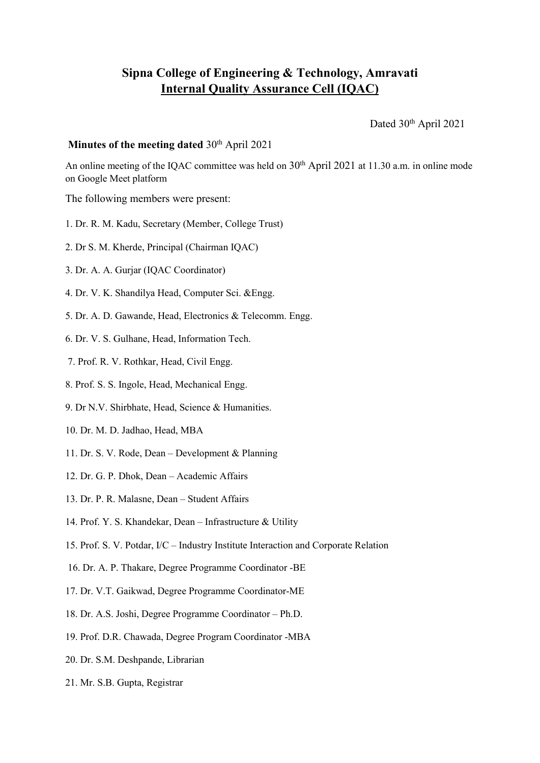## **Sipna College of Engineering & Technology, Amravati Internal Quality Assurance Cell (IQAC)**

Dated 30<sup>th</sup> April 2021

## **Minutes of the meeting dated** 30<sup>th</sup> April 2021

An online meeting of the IQAC committee was held on  $30<sup>th</sup>$  April 2021 at 11.30 a.m. in online mode on Google Meet platform

The following members were present:

- 1. Dr. R. M. Kadu, Secretary (Member, College Trust)
- 2. Dr S. M. Kherde, Principal (Chairman IQAC)
- 3. Dr. A. A. Gurjar (IQAC Coordinator)
- 4. Dr. V. K. Shandilya Head, Computer Sci. &Engg.
- 5. Dr. A. D. Gawande, Head, Electronics & Telecomm. Engg.
- 6. Dr. V. S. Gulhane, Head, Information Tech.
- 7. Prof. R. V. Rothkar, Head, Civil Engg.
- 8. Prof. S. S. Ingole, Head, Mechanical Engg.
- 9. Dr N.V. Shirbhate, Head, Science & Humanities.
- 10. Dr. M. D. Jadhao, Head, MBA
- 11. Dr. S. V. Rode, Dean Development & Planning
- 12. Dr. G. P. Dhok, Dean Academic Affairs
- 13. Dr. P. R. Malasne, Dean Student Affairs
- 14. Prof. Y. S. Khandekar, Dean Infrastructure & Utility
- 15. Prof. S. V. Potdar, I/C Industry Institute Interaction and Corporate Relation
- 16. Dr. A. P. Thakare, Degree Programme Coordinator -BE
- 17. Dr. V.T. Gaikwad, Degree Programme Coordinator-ME
- 18. Dr. A.S. Joshi, Degree Programme Coordinator Ph.D.
- 19. Prof. D.R. Chawada, Degree Program Coordinator -MBA
- 20. Dr. S.M. Deshpande, Librarian
- 21. Mr. S.B. Gupta, Registrar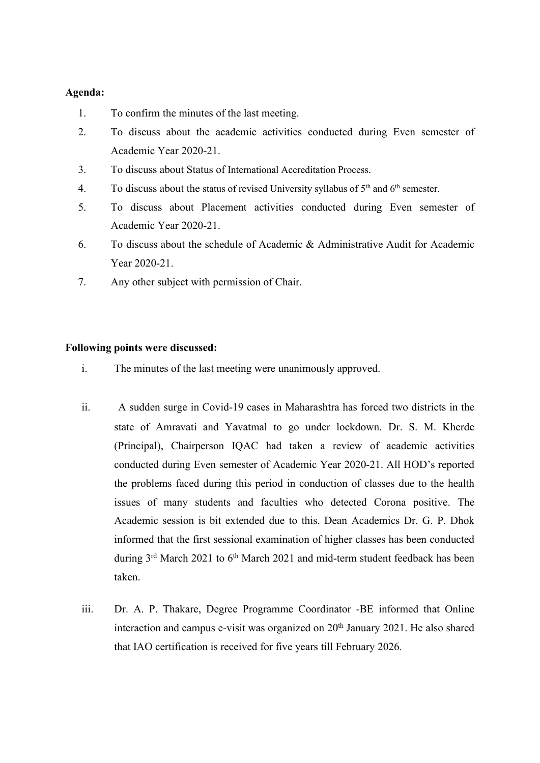## **Agenda:**

- 1. To confirm the minutes of the last meeting.
- 2. To discuss about the academic activities conducted during Even semester of Academic Year 2020-21.
- 3. To discuss about Status of International Accreditation Process.
- 4. To discuss about the status of revised University syllabus of  $5<sup>th</sup>$  and  $6<sup>th</sup>$  semester.
- 5. To discuss about Placement activities conducted during Even semester of Academic Year 2020-21.
- 6. To discuss about the schedule of Academic & Administrative Audit for Academic Year 2020-21.
- 7. Any other subject with permission of Chair.

## **Following points were discussed:**

- i. The minutes of the last meeting were unanimously approved.
- ii. A sudden surge in Covid-19 cases in Maharashtra has forced two districts in the state of Amravati and Yavatmal to go under lockdown. Dr. S. M. Kherde (Principal), Chairperson IQAC had taken a review of academic activities conducted during Even semester of Academic Year 2020-21. All HOD's reported the problems faced during this period in conduction of classes due to the health issues of many students and faculties who detected Corona positive. The Academic session is bit extended due to this. Dean Academics Dr. G. P. Dhok informed that the first sessional examination of higher classes has been conducted during 3<sup>rd</sup> March 2021 to 6<sup>th</sup> March 2021 and mid-term student feedback has been taken.
- iii. Dr. A. P. Thakare, Degree Programme Coordinator -BE informed that Online interaction and campus e-visit was organized on 20<sup>th</sup> January 2021. He also shared that IAO certification is received for five years till February 2026.